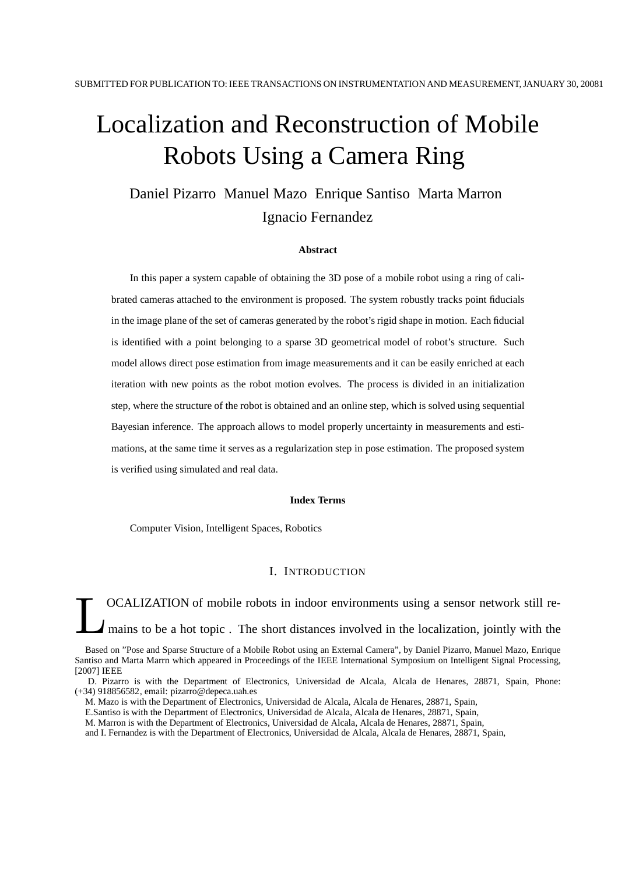# Localization and Reconstruction of Mobile Robots Using a Camera Ring

Daniel Pizarro Manuel Mazo Enrique Santiso Marta Marron Ignacio Fernandez

#### **Abstract**

In this paper a system capable of obtaining the 3D pose of a mobile robot using a ring of calibrated cameras attached to the environment is proposed. The system robustly tracks point fiducials in the image plane of the set of cameras generated by the robot's rigid shape in motion. Each fiducial is identified with a point belonging to a sparse 3D geometrical model of robot's structure. Such model allows direct pose estimation from image measurements and it can be easily enriched at each iteration with new points as the robot motion evolves. The process is divided in an initialization step, where the structure of the robot is obtained and an online step, which is solved using sequential Bayesian inference. The approach allows to model properly uncertainty in measurements and estimations, at the same time it serves as a regularization step in pose estimation. The proposed system is verified using simulated and real data.

#### **Index Terms**

Computer Vision, Intelligent Spaces, Robotics

#### I. INTRODUCTION

L OCALIZATION of mobile robots in indoor environments using a sensor network still remains to be a hot topic. The short distances involved in the localization, jointly with the

Based on "Pose and Sparse Structure of a Mobile Robot using an External Camera", by Daniel Pizarro, Manuel Mazo, Enrique Santiso and Marta Marrn which appeared in Proceedings of the IEEE International Symposium on Intelligent Signal Processing, [2007] IEEE

D. Pizarro is with the Department of Electronics, Universidad de Alcala, Alcala de Henares, 28871, Spain, Phone: (+34) 918856582, email: pizarro@depeca.uah.es

M. Mazo is with the Department of Electronics, Universidad de Alcala, Alcala de Henares, 28871, Spain,

E.Santiso is with the Department of Electronics, Universidad de Alcala, Alcala de Henares, 28871, Spain,

M. Marron is with the Department of Electronics, Universidad de Alcala, Alcala de Henares, 28871, Spain,

and I. Fernandez is with the Department of Electronics, Universidad de Alcala, Alcala de Henares, 28871, Spain,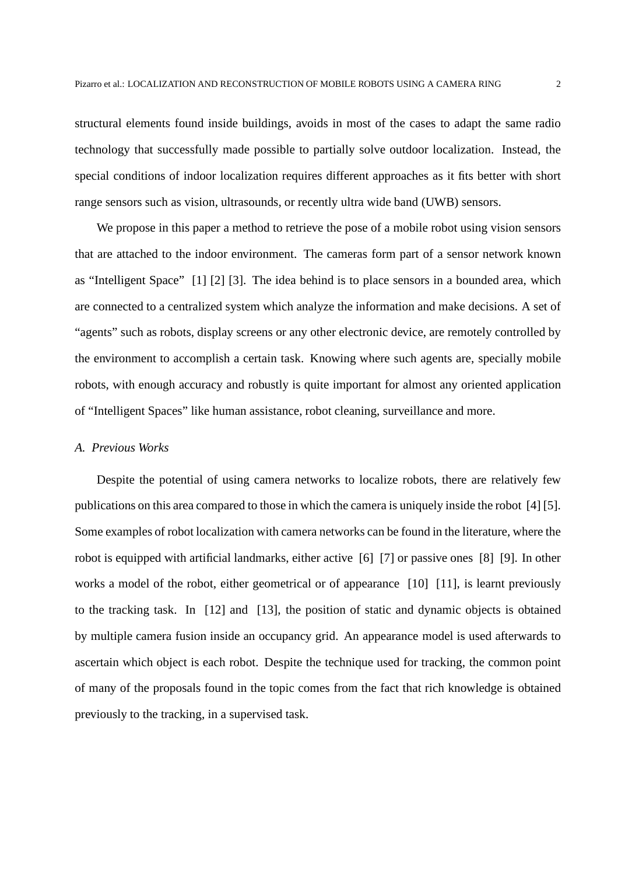structural elements found inside buildings, avoids in most of the cases to adapt the same radio technology that successfully made possible to partially solve outdoor localization. Instead, the special conditions of indoor localization requires different approaches as it fits better with short range sensors such as vision, ultrasounds, or recently ultra wide band (UWB) sensors.

We propose in this paper a method to retrieve the pose of a mobile robot using vision sensors that are attached to the indoor environment. The cameras form part of a sensor network known as "Intelligent Space" [1] [2] [3]. The idea behind is to place sensors in a bounded area, which are connected to a centralized system which analyze the information and make decisions. A set of "agents" such as robots, display screens or any other electronic device, are remotely controlled by the environment to accomplish a certain task. Knowing where such agents are, specially mobile robots, with enough accuracy and robustly is quite important for almost any oriented application of "Intelligent Spaces" like human assistance, robot cleaning, surveillance and more.

## *A. Previous Works*

Despite the potential of using camera networks to localize robots, there are relatively few publications on this area compared to those in which the camera is uniquely inside the robot [4] [5]. Some examples of robot localization with camera networks can be found in the literature, where the robot is equipped with artificial landmarks, either active [6] [7] or passive ones [8] [9]. In other works a model of the robot, either geometrical or of appearance [10] [11], is learnt previously to the tracking task. In [12] and [13], the position of static and dynamic objects is obtained by multiple camera fusion inside an occupancy grid. An appearance model is used afterwards to ascertain which object is each robot. Despite the technique used for tracking, the common point of many of the proposals found in the topic comes from the fact that rich knowledge is obtained previously to the tracking, in a supervised task.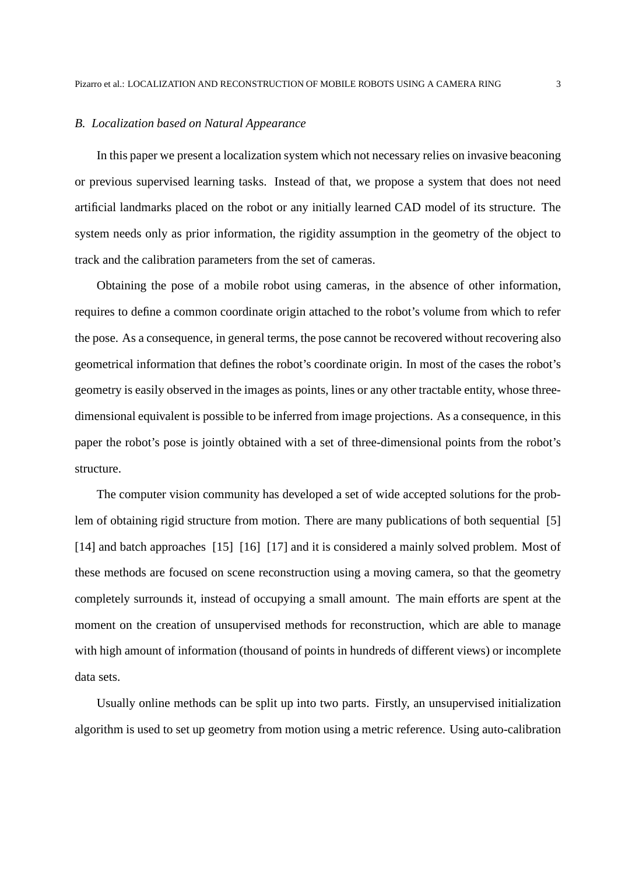#### *B. Localization based on Natural Appearance*

In this paper we present a localization system which not necessary relies on invasive beaconing or previous supervised learning tasks. Instead of that, we propose a system that does not need artificial landmarks placed on the robot or any initially learned CAD model of its structure. The system needs only as prior information, the rigidity assumption in the geometry of the object to track and the calibration parameters from the set of cameras.

Obtaining the pose of a mobile robot using cameras, in the absence of other information, requires to define a common coordinate origin attached to the robot's volume from which to refer the pose. As a consequence, in general terms, the pose cannot be recovered without recovering also geometrical information that defines the robot's coordinate origin. In most of the cases the robot's geometry is easily observed in the images as points, lines or any other tractable entity, whose threedimensional equivalent is possible to be inferred from image projections. As a consequence, in this paper the robot's pose is jointly obtained with a set of three-dimensional points from the robot's structure.

The computer vision community has developed a set of wide accepted solutions for the problem of obtaining rigid structure from motion. There are many publications of both sequential [5] [14] and batch approaches [15] [16] [17] and it is considered a mainly solved problem. Most of these methods are focused on scene reconstruction using a moving camera, so that the geometry completely surrounds it, instead of occupying a small amount. The main efforts are spent at the moment on the creation of unsupervised methods for reconstruction, which are able to manage with high amount of information (thousand of points in hundreds of different views) or incomplete data sets.

Usually online methods can be split up into two parts. Firstly, an unsupervised initialization algorithm is used to set up geometry from motion using a metric reference. Using auto-calibration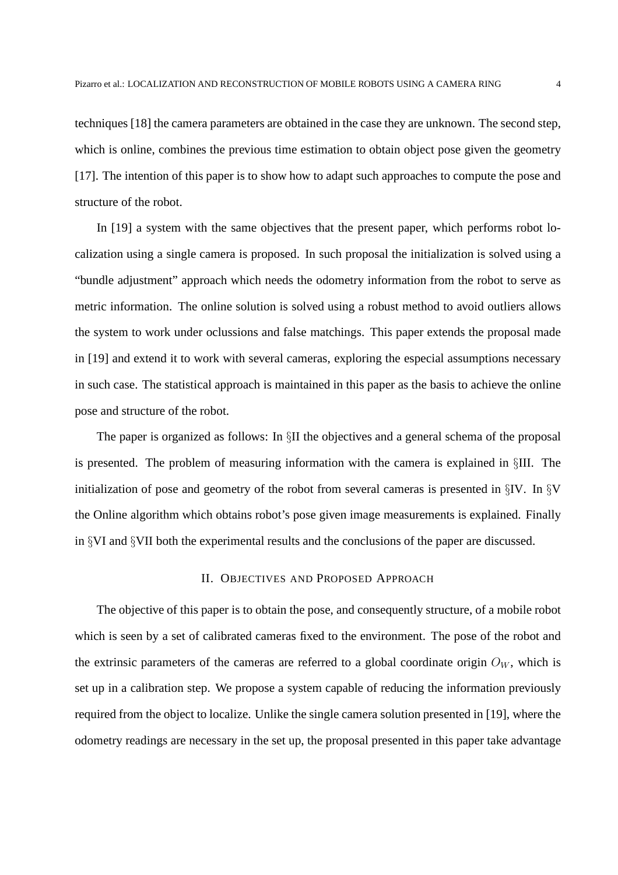techniques [18] the camera parameters are obtained in the case they are unknown. The second step, which is online, combines the previous time estimation to obtain object pose given the geometry [17]. The intention of this paper is to show how to adapt such approaches to compute the pose and structure of the robot.

In [19] a system with the same objectives that the present paper, which performs robot localization using a single camera is proposed. In such proposal the initialization is solved using a "bundle adjustment" approach which needs the odometry information from the robot to serve as metric information. The online solution is solved using a robust method to avoid outliers allows the system to work under oclussions and false matchings. This paper extends the proposal made in [19] and extend it to work with several cameras, exploring the especial assumptions necessary in such case. The statistical approach is maintained in this paper as the basis to achieve the online pose and structure of the robot.

The paper is organized as follows: In §II the objectives and a general schema of the proposal is presented. The problem of measuring information with the camera is explained in §III. The initialization of pose and geometry of the robot from several cameras is presented in §IV. In §V the Online algorithm which obtains robot's pose given image measurements is explained. Finally in §VI and §VII both the experimental results and the conclusions of the paper are discussed.

## II. OBJECTIVES AND PROPOSED APPROACH

The objective of this paper is to obtain the pose, and consequently structure, of a mobile robot which is seen by a set of calibrated cameras fixed to the environment. The pose of the robot and the extrinsic parameters of the cameras are referred to a global coordinate origin  $O_W$ , which is set up in a calibration step. We propose a system capable of reducing the information previously required from the object to localize. Unlike the single camera solution presented in [19], where the odometry readings are necessary in the set up, the proposal presented in this paper take advantage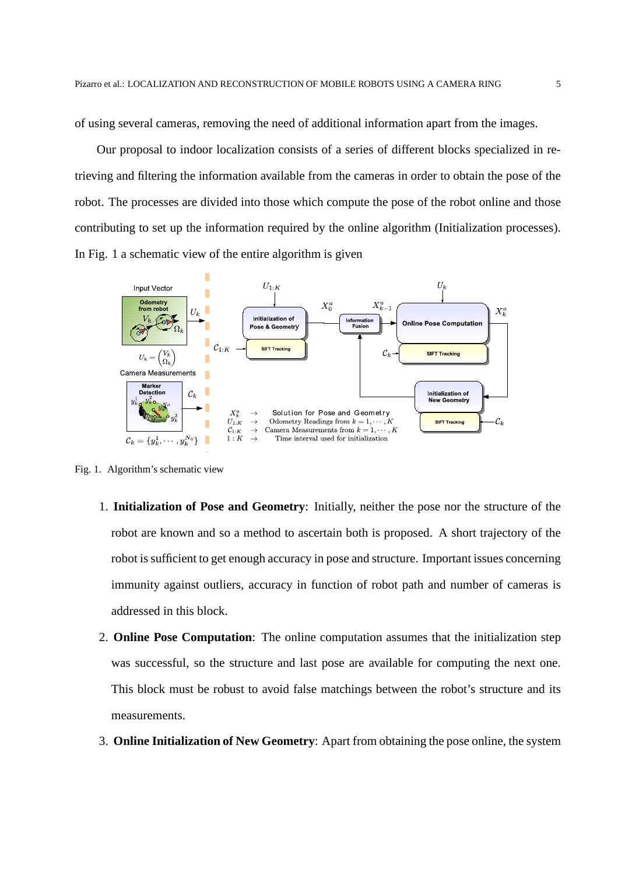of using several cameras, removing the need of additional information apart from the images.

Our proposal to indoor localization consists of a series of different blocks specialized in retrieving and filtering the information available from the cameras in order to obtain the pose of the robot. The processes are divided into those which compute the pose of the robot online and those contributing to set up the information required by the online algorithm (Initialization processes). In Fig. 1 a schematic view of the entire algorithm is given



Fig. 1. Algorithm's schematic view

- 1. **Initialization of Pose and Geometry**: Initially, neither the pose nor the structure of the robot are known and so a method to ascertain both is proposed. A short trajectory of the robot is sufficient to get enough accuracy in pose and structure. Important issues concerning immunity against outliers, accuracy in function of robot path and number of cameras is addressed in this block.
- 2. **Online Pose Computation**: The online computation assumes that the initialization step was successful, so the structure and last pose are available for computing the next one. This block must be robust to avoid false matchings between the robot's structure and its measurements.
- 3. **Online Initialization of New Geometry**: Apart from obtaining the pose online, the system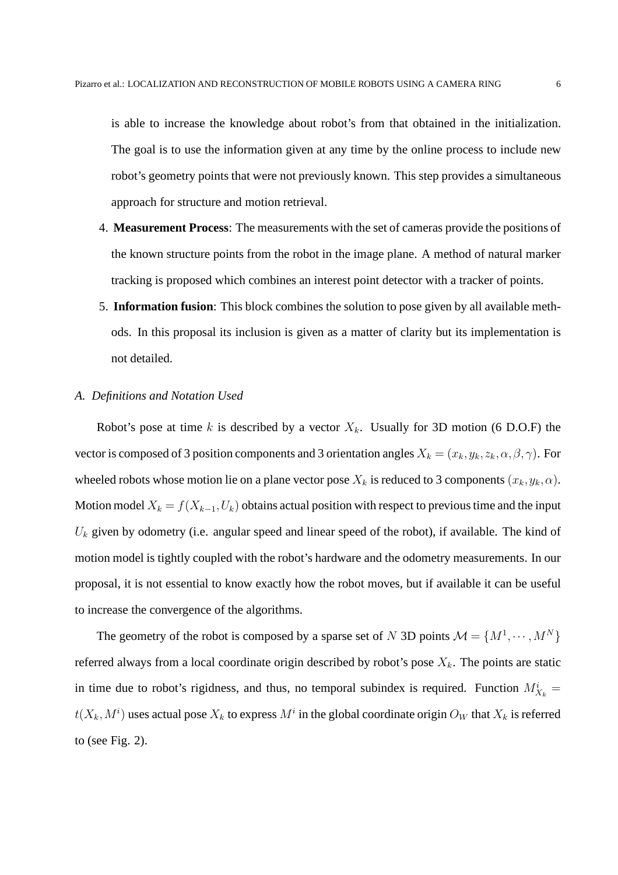is able to increase the knowledge about robot's from that obtained in the initialization. The goal is to use the information given at any time by the online process to include new robot's geometry points that were not previously known. This step provides a simultaneous approach for structure and motion retrieval.

- 4. **Measurement Process**: The measurements with the set of cameras provide the positions of the known structure points from the robot in the image plane. A method of natural marker tracking is proposed which combines an interest point detector with a tracker of points.
- 5. **Information fusion**: This block combines the solution to pose given by all available methods. In this proposal its inclusion is given as a matter of clarity but its implementation is not detailed.

#### *A. Definitions and Notation Used*

Robot's pose at time k is described by a vector  $X_k$ . Usually for 3D motion (6 D.O.F) the vector is composed of 3 position components and 3 orientation angles  $X_k = (x_k, y_k, z_k, \alpha, \beta, \gamma)$ . For wheeled robots whose motion lie on a plane vector pose  $X_k$  is reduced to 3 components  $(x_k, y_k, \alpha)$ . Motion model  $X_k = f(X_{k-1}, U_k)$  obtains actual position with respect to previous time and the input  $U_k$  given by odometry (i.e. angular speed and linear speed of the robot), if available. The kind of motion model is tightly coupled with the robot's hardware and the odometry measurements. In our proposal, it is not essential to know exactly how the robot moves, but if available it can be useful to increase the convergence of the algorithms.

The geometry of the robot is composed by a sparse set of N 3D points  $\mathcal{M} = \{M^1, \dots, M^N\}$ referred always from a local coordinate origin described by robot's pose  $X_k$ . The points are static in time due to robot's rigidness, and thus, no temporal subindex is required. Function  $M_{X_k}^i =$  $t(X_k, M^i)$  uses actual pose  $X_k$  to express  $M^i$  in the global coordinate origin  $O_W$  that  $X_k$  is referred to (see Fig. 2).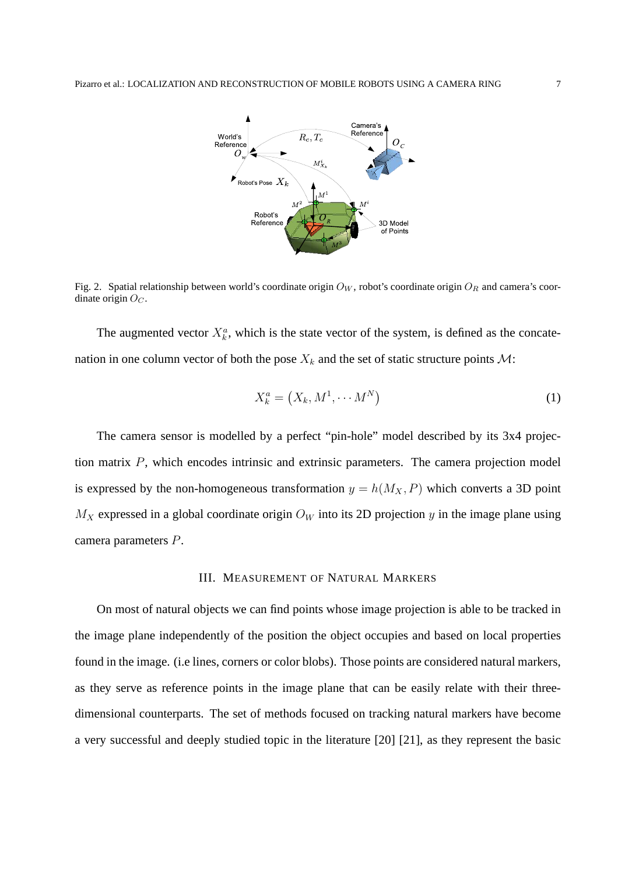

Fig. 2. Spatial relationship between world's coordinate origin  $O_W$ , robot's coordinate origin  $O_R$  and camera's coordinate origin  $O<sub>C</sub>$ .

The augmented vector  $X_k^a$ , which is the state vector of the system, is defined as the concatenation in one column vector of both the pose  $X_k$  and the set of static structure points  $\mathcal{M}$ :

$$
X_k^a = \left(X_k, M^1, \cdots M^N\right) \tag{1}
$$

The camera sensor is modelled by a perfect "pin-hole" model described by its 3x4 projection matrix P, which encodes intrinsic and extrinsic parameters. The camera projection model is expressed by the non-homogeneous transformation  $y = h(M_X, P)$  which converts a 3D point  $M_X$  expressed in a global coordinate origin  $O_W$  into its 2D projection y in the image plane using camera parameters P.

#### III. MEASUREMENT OF NATURAL MARKERS

On most of natural objects we can find points whose image projection is able to be tracked in the image plane independently of the position the object occupies and based on local properties found in the image. (i.e lines, corners or color blobs). Those points are considered natural markers, as they serve as reference points in the image plane that can be easily relate with their threedimensional counterparts. The set of methods focused on tracking natural markers have become a very successful and deeply studied topic in the literature [20] [21], as they represent the basic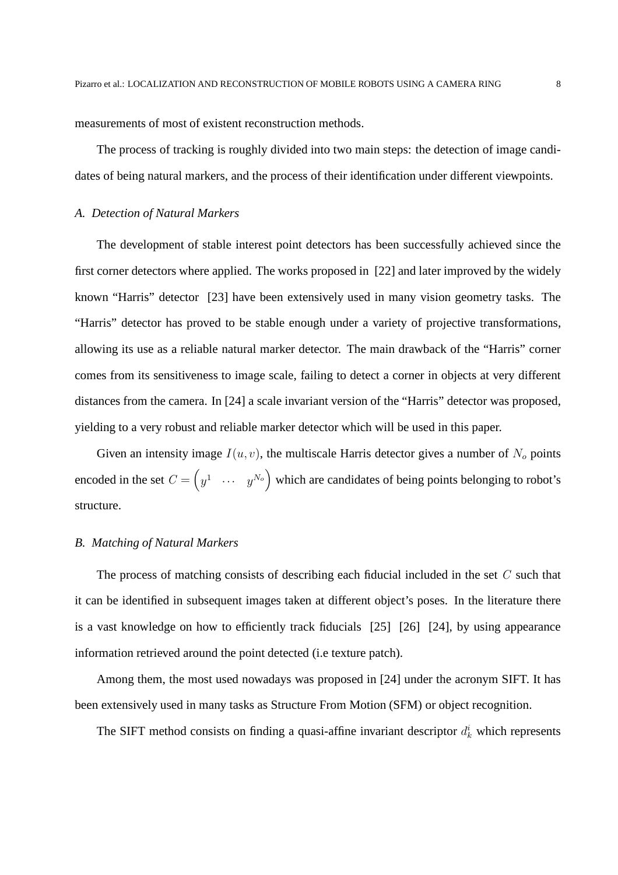measurements of most of existent reconstruction methods.

The process of tracking is roughly divided into two main steps: the detection of image candidates of being natural markers, and the process of their identification under different viewpoints.

## *A. Detection of Natural Markers*

The development of stable interest point detectors has been successfully achieved since the first corner detectors where applied. The works proposed in [22] and later improved by the widely known "Harris" detector [23] have been extensively used in many vision geometry tasks. The "Harris" detector has proved to be stable enough under a variety of projective transformations, allowing its use as a reliable natural marker detector. The main drawback of the "Harris" corner comes from its sensitiveness to image scale, failing to detect a corner in objects at very different distances from the camera. In [24] a scale invariant version of the "Harris" detector was proposed, yielding to a very robust and reliable marker detector which will be used in this paper.

Given an intensity image  $I(u, v)$ , the multiscale Harris detector gives a number of  $N<sub>o</sub>$  points encoded in the set  $C = \begin{pmatrix} y^1 & \cdots & y^{N_o} \end{pmatrix}$  which are candidates of being points belonging to robot's structure.

## *B. Matching of Natural Markers*

The process of matching consists of describing each fiducial included in the set  $C$  such that it can be identified in subsequent images taken at different object's poses. In the literature there is a vast knowledge on how to efficiently track fiducials [25] [26] [24], by using appearance information retrieved around the point detected (i.e texture patch).

Among them, the most used nowadays was proposed in [24] under the acronym SIFT. It has been extensively used in many tasks as Structure From Motion (SFM) or object recognition.

The SIFT method consists on finding a quasi-affine invariant descriptor  $d_k^i$  which represents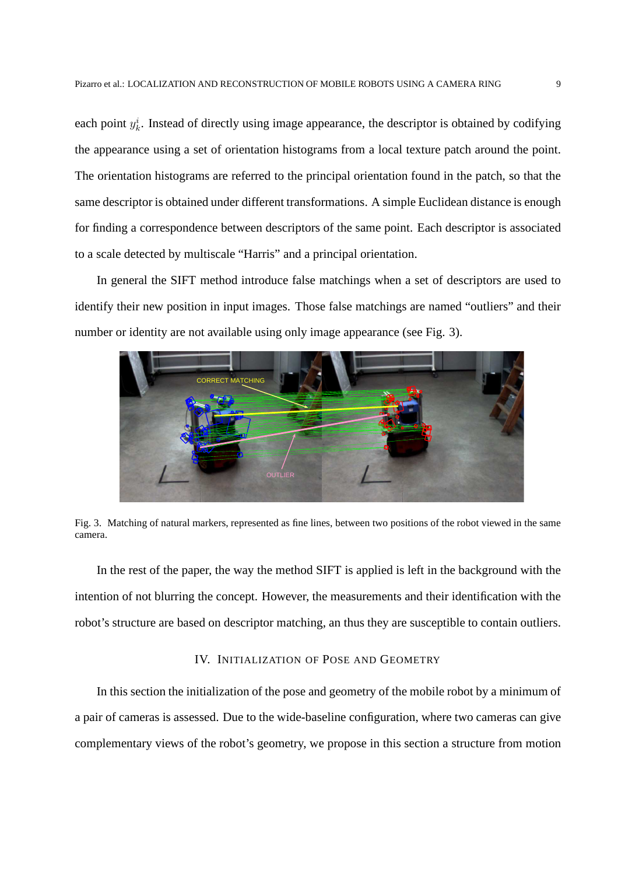each point  $y_k^i$ . Instead of directly using image appearance, the descriptor is obtained by codifying the appearance using a set of orientation histograms from a local texture patch around the point. The orientation histograms are referred to the principal orientation found in the patch, so that the same descriptor is obtained under different transformations. A simple Euclidean distance is enough for finding a correspondence between descriptors of the same point. Each descriptor is associated to a scale detected by multiscale "Harris" and a principal orientation.

In general the SIFT method introduce false matchings when a set of descriptors are used to identify their new position in input images. Those false matchings are named "outliers" and their number or identity are not available using only image appearance (see Fig. 3).



Fig. 3. Matching of natural markers, represented as fine lines, between two positions of the robot viewed in the same camera.

In the rest of the paper, the way the method SIFT is applied is left in the background with the intention of not blurring the concept. However, the measurements and their identification with the robot's structure are based on descriptor matching, an thus they are susceptible to contain outliers.

## IV. INITIALIZATION OF POSE AND GEOMETRY

In this section the initialization of the pose and geometry of the mobile robot by a minimum of a pair of cameras is assessed. Due to the wide-baseline configuration, where two cameras can give complementary views of the robot's geometry, we propose in this section a structure from motion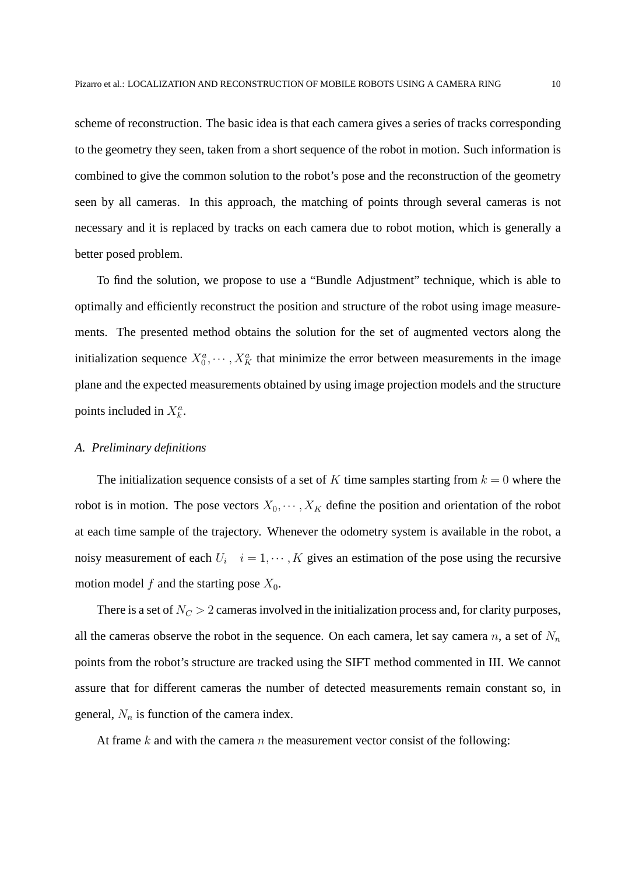scheme of reconstruction. The basic idea is that each camera gives a series of tracks corresponding to the geometry they seen, taken from a short sequence of the robot in motion. Such information is combined to give the common solution to the robot's pose and the reconstruction of the geometry seen by all cameras. In this approach, the matching of points through several cameras is not necessary and it is replaced by tracks on each camera due to robot motion, which is generally a better posed problem.

To find the solution, we propose to use a "Bundle Adjustment" technique, which is able to optimally and efficiently reconstruct the position and structure of the robot using image measurements. The presented method obtains the solution for the set of augmented vectors along the initialization sequence  $X_0^a, \dots, X_K^a$  that minimize the error between measurements in the image plane and the expected measurements obtained by using image projection models and the structure points included in  $X_k^a$ .

## *A. Preliminary definitions*

The initialization sequence consists of a set of K time samples starting from  $k = 0$  where the robot is in motion. The pose vectors  $X_0, \dots, X_K$  define the position and orientation of the robot at each time sample of the trajectory. Whenever the odometry system is available in the robot, a noisy measurement of each  $U_i$   $i = 1, \dots, K$  gives an estimation of the pose using the recursive motion model f and the starting pose  $X_0$ .

There is a set of  $N_C > 2$  cameras involved in the initialization process and, for clarity purposes, all the cameras observe the robot in the sequence. On each camera, let say camera n, a set of  $N_n$ points from the robot's structure are tracked using the SIFT method commented in III. We cannot assure that for different cameras the number of detected measurements remain constant so, in general,  $N_n$  is function of the camera index.

At frame k and with the camera n the measurement vector consist of the following: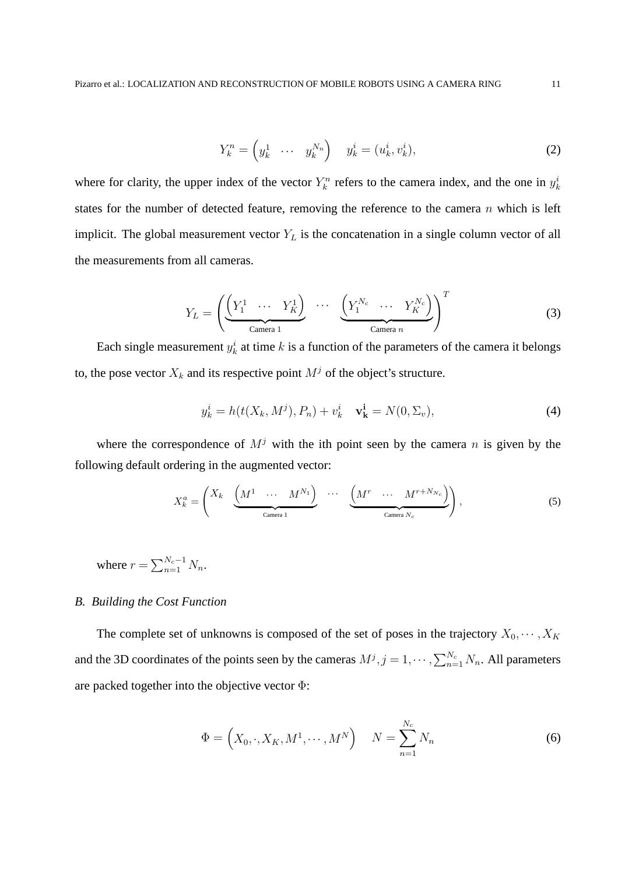$$
Y_k^n = \begin{pmatrix} y_k^1 & \cdots & y_k^{N_n} \end{pmatrix} \quad y_k^i = (u_k^i, v_k^i), \tag{2}
$$

where for clarity, the upper index of the vector  $Y_k^n$  refers to the camera index, and the one in  $y_k^i$ states for the number of detected feature, removing the reference to the camera  $n$  which is left implicit. The global measurement vector  $Y_L$  is the concatenation in a single column vector of all the measurements from all cameras.

$$
Y_L = \left( \underbrace{\left( Y_1^1 \cdots Y_K^1 \right)}_{\text{Camera 1}} \cdots \underbrace{\left( Y_1^{N_c} \cdots Y_K^{N_c} \right)}_{\text{Camera } n} \right)^T \tag{3}
$$

Each single measurement  $y_k^i$  at time k is a function of the parameters of the camera it belongs to, the pose vector  $X_k$  and its respective point  $M^j$  of the object's structure.

$$
y_k^i = h(t(X_k, M^j), P_n) + v_k^i \quad \mathbf{v}_k^i = N(0, \Sigma_v), \tag{4}
$$

where the correspondence of  $M<sup>j</sup>$  with the ith point seen by the camera n is given by the following default ordering in the augmented vector:

$$
X_k^a = \begin{pmatrix} X_k & \underbrace{\begin{pmatrix} M^1 & \cdots & M^{N_1} \end{pmatrix}} & \cdots & \underbrace{\begin{pmatrix} M^r & \cdots & M^{r+N_{N_c}} \end{pmatrix}}_{\text{Camera } N_c} \end{pmatrix}, \tag{5}
$$

where  $r = \sum_{n=1}^{N_c-1} N_n$ .

#### *B. Building the Cost Function*

The complete set of unknowns is composed of the set of poses in the trajectory  $X_0, \dots, X_K$ and the 3D coordinates of the points seen by the cameras  $M^j$ ,  $j = 1, \dots, \sum_{n=1}^{N_c} N_n$ . All parameters are packed together into the objective vector Φ:

$$
\Phi = \left(X_0, \cdot, X_K, M^1, \cdots, M^N\right) \quad N = \sum_{n=1}^{N_c} N_n \tag{6}
$$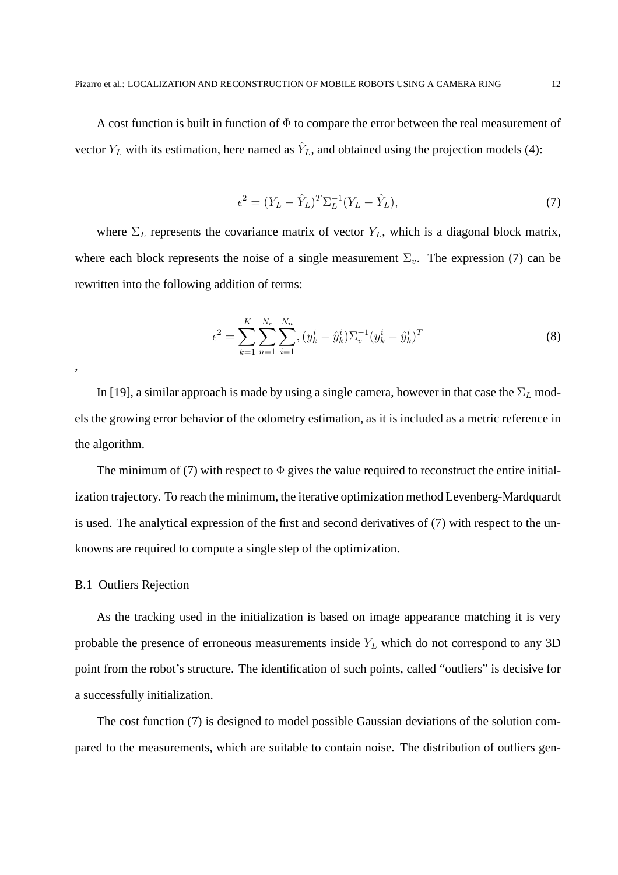A cost function is built in function of  $\Phi$  to compare the error between the real measurement of vector  $Y_L$  with its estimation, here named as  $\hat{Y}_L$ , and obtained using the projection models (4):

$$
\epsilon^2 = (Y_L - \hat{Y}_L)^T \Sigma_L^{-1} (Y_L - \hat{Y}_L),\tag{7}
$$

where  $\Sigma_L$  represents the covariance matrix of vector  $Y_L$ , which is a diagonal block matrix, where each block represents the noise of a single measurement  $\Sigma_n$ . The expression (7) can be rewritten into the following addition of terms:

$$
\epsilon^2 = \sum_{k=1}^K \sum_{n=1}^{N_c} \sum_{i=1}^{N_n} (y_k^i - \hat{y}_k^i) \Sigma_v^{-1} (y_k^i - \hat{y}_k^i)^T
$$
(8)

In [19], a similar approach is made by using a single camera, however in that case the  $\Sigma_L$  models the growing error behavior of the odometry estimation, as it is included as a metric reference in the algorithm.

The minimum of (7) with respect to  $\Phi$  gives the value required to reconstruct the entire initialization trajectory. To reach the minimum, the iterative optimization method Levenberg-Mardquardt is used. The analytical expression of the first and second derivatives of (7) with respect to the unknowns are required to compute a single step of the optimization.

## B.1 Outliers Rejection

,

As the tracking used in the initialization is based on image appearance matching it is very probable the presence of erroneous measurements inside  $Y_L$  which do not correspond to any 3D point from the robot's structure. The identification of such points, called "outliers" is decisive for a successfully initialization.

The cost function (7) is designed to model possible Gaussian deviations of the solution compared to the measurements, which are suitable to contain noise. The distribution of outliers gen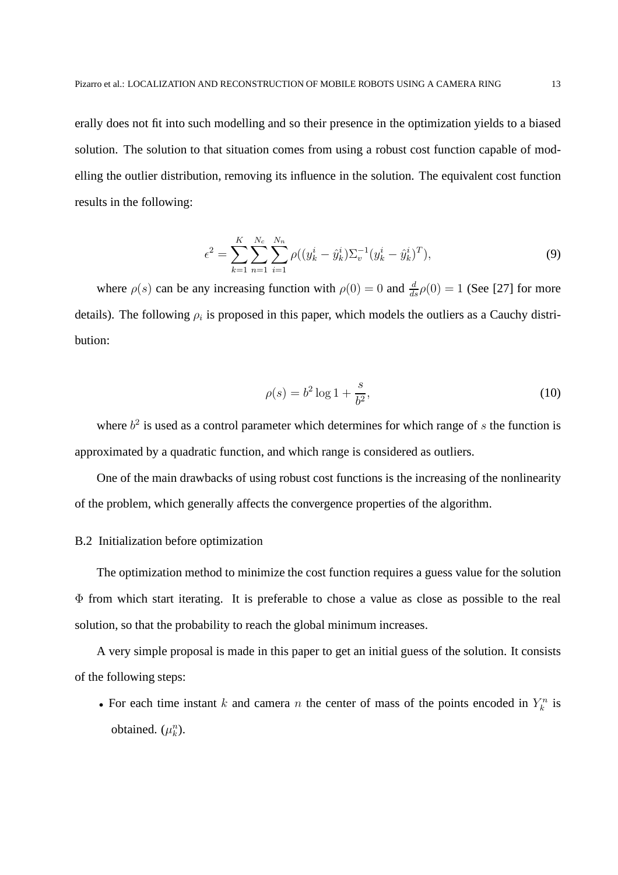erally does not fit into such modelling and so their presence in the optimization yields to a biased solution. The solution to that situation comes from using a robust cost function capable of modelling the outlier distribution, removing its influence in the solution. The equivalent cost function results in the following:

$$
\epsilon^2 = \sum_{k=1}^K \sum_{n=1}^{N_c} \sum_{i=1}^{N_n} \rho((y_k^i - \hat{y}_k^i) \Sigma_v^{-1} (y_k^i - \hat{y}_k^i)^T), \tag{9}
$$

where  $\rho(s)$  can be any increasing function with  $\rho(0) = 0$  and  $\frac{d}{ds}\rho(0) = 1$  (See [27] for more details). The following  $\rho_i$  is proposed in this paper, which models the outliers as a Cauchy distribution:

$$
\rho(s) = b^2 \log 1 + \frac{s}{b^2},\tag{10}
$$

where  $b<sup>2</sup>$  is used as a control parameter which determines for which range of s the function is approximated by a quadratic function, and which range is considered as outliers.

One of the main drawbacks of using robust cost functions is the increasing of the nonlinearity of the problem, which generally affects the convergence properties of the algorithm.

# B.2 Initialization before optimization

The optimization method to minimize the cost function requires a guess value for the solution Φ from which start iterating. It is preferable to chose a value as close as possible to the real solution, so that the probability to reach the global minimum increases.

A very simple proposal is made in this paper to get an initial guess of the solution. It consists of the following steps:

• For each time instant k and camera n the center of mass of the points encoded in  $Y_k^n$  is obtained.  $(\mu_k^n)$ .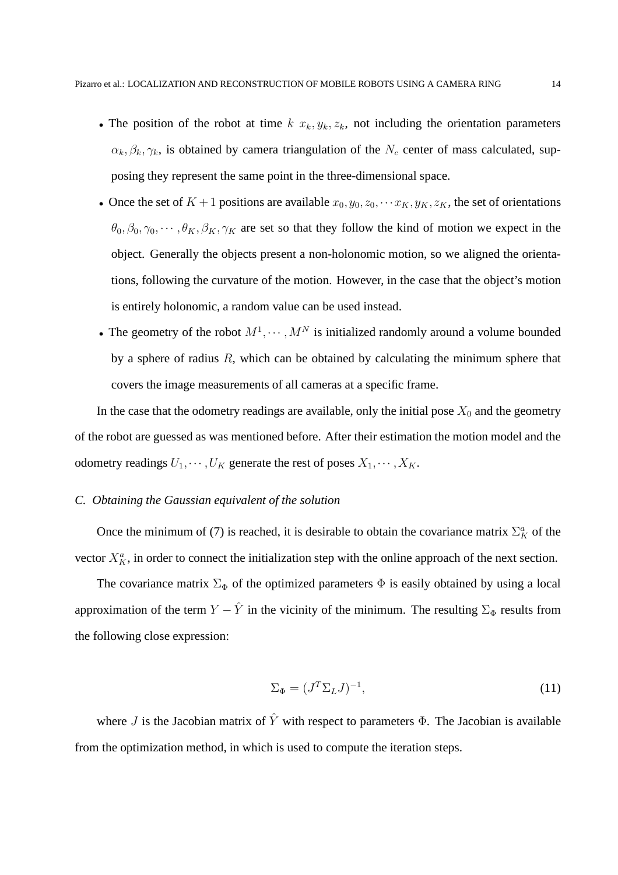- The position of the robot at time  $k$   $x_k, y_k, z_k$ , not including the orientation parameters  $\alpha_k, \beta_k, \gamma_k$ , is obtained by camera triangulation of the  $N_c$  center of mass calculated, supposing they represent the same point in the three-dimensional space.
- Once the set of  $K+1$  positions are available  $x_0, y_0, z_0, \dots, x_K, y_K, z_K$ , the set of orientations  $\theta_0, \beta_0, \gamma_0, \cdots, \theta_K, \beta_K, \gamma_K$  are set so that they follow the kind of motion we expect in the object. Generally the objects present a non-holonomic motion, so we aligned the orientations, following the curvature of the motion. However, in the case that the object's motion is entirely holonomic, a random value can be used instead.
- The geometry of the robot  $M^1, \dots, M^N$  is initialized randomly around a volume bounded by a sphere of radius  $R$ , which can be obtained by calculating the minimum sphere that covers the image measurements of all cameras at a specific frame.

In the case that the odometry readings are available, only the initial pose  $X_0$  and the geometry of the robot are guessed as was mentioned before. After their estimation the motion model and the odometry readings  $U_1, \dots, U_K$  generate the rest of poses  $X_1, \dots, X_K$ .

## *C. Obtaining the Gaussian equivalent of the solution*

Once the minimum of (7) is reached, it is desirable to obtain the covariance matrix  $\Sigma_K^a$  of the vector  $X_K^a$ , in order to connect the initialization step with the online approach of the next section.

The covariance matrix  $\Sigma_{\Phi}$  of the optimized parameters  $\Phi$  is easily obtained by using a local approximation of the term  $Y - \hat{Y}$  in the vicinity of the minimum. The resulting  $\Sigma_{\Phi}$  results from the following close expression:

$$
\Sigma_{\Phi} = (J^T \Sigma_L J)^{-1},\tag{11}
$$

where J is the Jacobian matrix of  $\hat{Y}$  with respect to parameters  $\Phi$ . The Jacobian is available from the optimization method, in which is used to compute the iteration steps.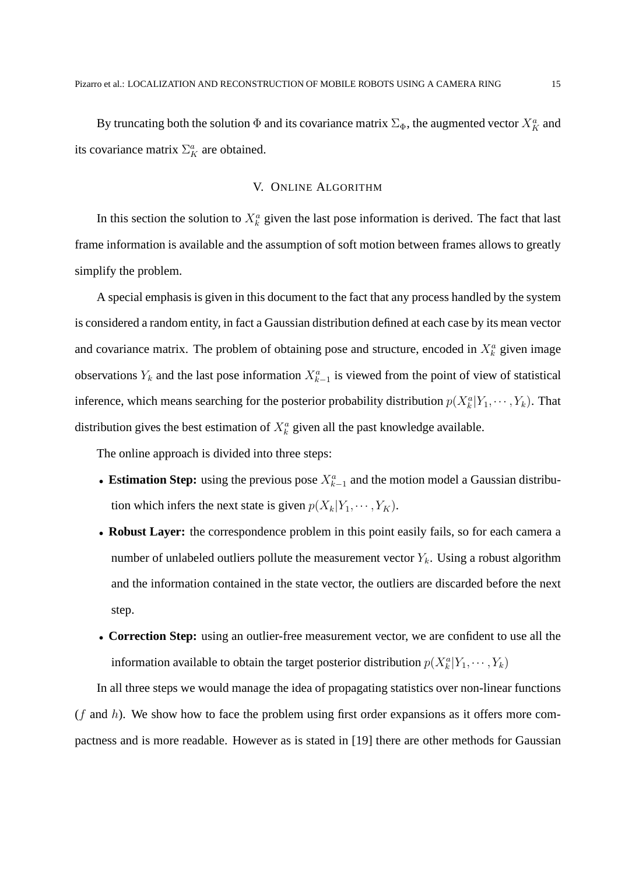By truncating both the solution  $\Phi$  and its covariance matrix  $\Sigma_{\Phi}$ , the augmented vector  $X_K^a$  and its covariance matrix  $\Sigma_K^a$  are obtained.

## V. ONLINE ALGORITHM

In this section the solution to  $X_k^a$  given the last pose information is derived. The fact that last frame information is available and the assumption of soft motion between frames allows to greatly simplify the problem.

A special emphasis is given in this document to the fact that any process handled by the system is considered a random entity, in fact a Gaussian distribution defined at each case by its mean vector and covariance matrix. The problem of obtaining pose and structure, encoded in  $X_k^a$  given image observations  $Y_k$  and the last pose information  $X_{k-1}^a$  is viewed from the point of view of statistical inference, which means searching for the posterior probability distribution  $p(X_k^a|Y_1,\dots,Y_k)$ . That distribution gives the best estimation of  $X_k^a$  given all the past knowledge available.

The online approach is divided into three steps:

- Estimation Step: using the previous pose  $X_{k-1}^a$  and the motion model a Gaussian distribution which infers the next state is given  $p(X_k|Y_1,\dots, Y_K)$ .
- **Robust Layer:** the correspondence problem in this point easily fails, so for each camera a number of unlabeled outliers pollute the measurement vector  $Y_k$ . Using a robust algorithm and the information contained in the state vector, the outliers are discarded before the next step.
- **Correction Step:** using an outlier-free measurement vector, we are confident to use all the information available to obtain the target posterior distribution  $p(X_k^a|Y_1,\cdots,Y_k)$

In all three steps we would manage the idea of propagating statistics over non-linear functions  $(f$  and h). We show how to face the problem using first order expansions as it offers more compactness and is more readable. However as is stated in [19] there are other methods for Gaussian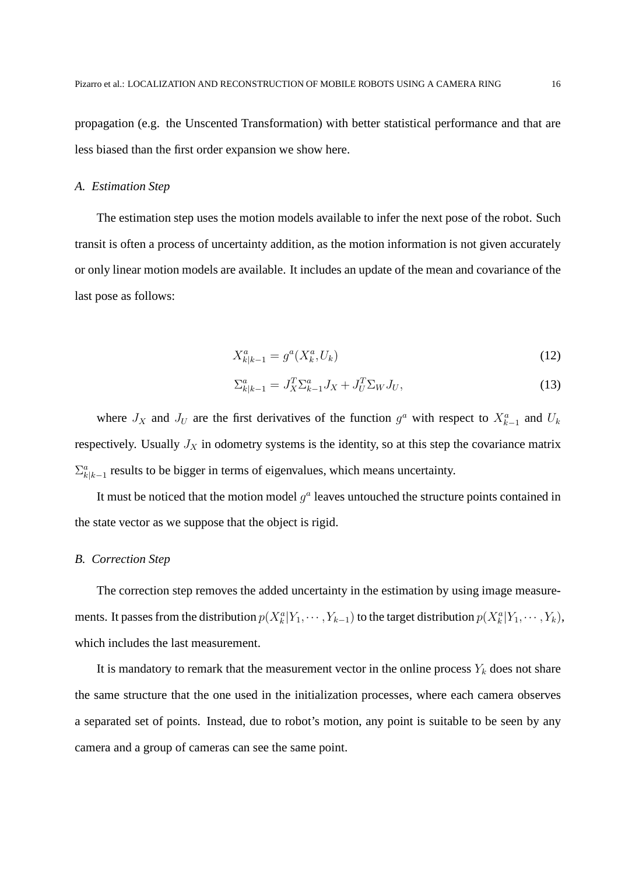propagation (e.g. the Unscented Transformation) with better statistical performance and that are less biased than the first order expansion we show here.

#### *A. Estimation Step*

The estimation step uses the motion models available to infer the next pose of the robot. Such transit is often a process of uncertainty addition, as the motion information is not given accurately or only linear motion models are available. It includes an update of the mean and covariance of the last pose as follows:

$$
X_{k|k-1}^a = g^a(X_k^a, U_k)
$$
\n(12)

$$
\Sigma_{k|k-1}^a = J_X^T \Sigma_{k-1}^a J_X + J_U^T \Sigma_W J_U,
$$
\n<sup>(13)</sup>

where  $J_X$  and  $J_U$  are the first derivatives of the function  $g^a$  with respect to  $X_{k-1}^a$  and  $U_k$ respectively. Usually  $J_X$  in odometry systems is the identity, so at this step the covariance matrix  $\sum_{k=k-1}^a$  results to be bigger in terms of eigenvalues, which means uncertainty.

It must be noticed that the motion model  $g<sup>a</sup>$  leaves untouched the structure points contained in the state vector as we suppose that the object is rigid.

#### *B. Correction Step*

The correction step removes the added uncertainty in the estimation by using image measurements. It passes from the distribution  $p(X_k^a|Y_1,\cdots,Y_{k-1})$  to the target distribution  $p(X_k^a|Y_1,\cdots,Y_k)$ , which includes the last measurement.

It is mandatory to remark that the measurement vector in the online process  $Y_k$  does not share the same structure that the one used in the initialization processes, where each camera observes a separated set of points. Instead, due to robot's motion, any point is suitable to be seen by any camera and a group of cameras can see the same point.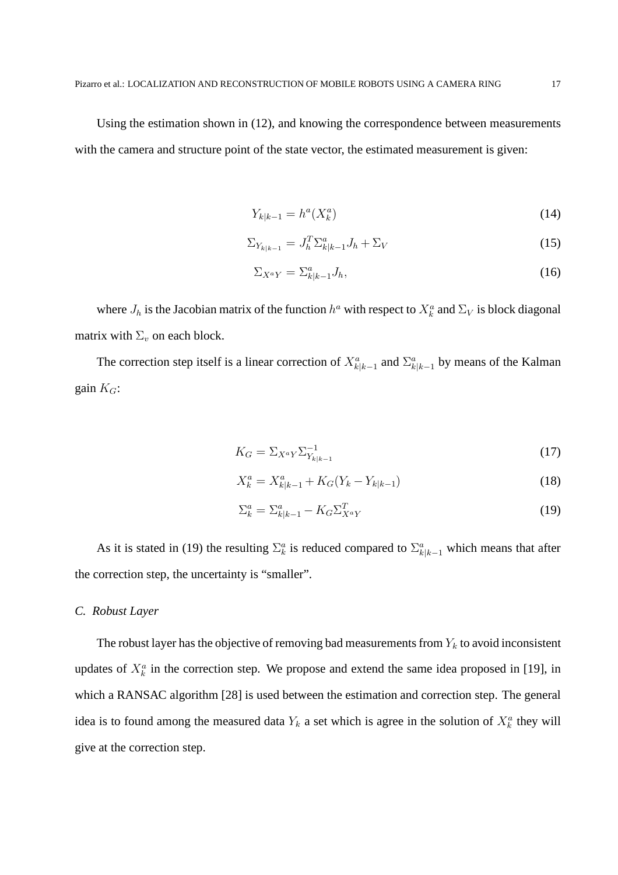Using the estimation shown in (12), and knowing the correspondence between measurements with the camera and structure point of the state vector, the estimated measurement is given:

$$
Y_{k|k-1} = h^a(X_k^a)
$$
 (14)

$$
\Sigma_{Y_{k|k-1}} = J_h^T \Sigma_{k|k-1}^a J_h + \Sigma_V \tag{15}
$$

$$
\Sigma_{X^a Y} = \Sigma^a_{k|k-1} J_h,\tag{16}
$$

where  $J_h$  is the Jacobian matrix of the function  $h^a$  with respect to  $X_k^a$  and  $\Sigma_V$  is block diagonal matrix with  $\Sigma_v$  on each block.

The correction step itself is a linear correction of  $X_{k|k-1}^a$  and  $\Sigma_{k|k-1}^a$  by means of the Kalman gain  $K_G$ :

$$
K_G = \sum_{X^a Y} \sum_{Y_{k|k-1}}^{-1} \tag{17}
$$

$$
X_k^a = X_{k|k-1}^a + K_G(Y_k - Y_{k|k-1})
$$
\n(18)

$$
\Sigma_k^a = \Sigma_{k|k-1}^a - K_G \Sigma_{X^a Y}^T \tag{19}
$$

As it is stated in (19) the resulting  $\Sigma_k^a$  is reduced compared to  $\Sigma_{k|k-1}^a$  which means that after the correction step, the uncertainty is "smaller".

## *C. Robust Layer*

The robust layer has the objective of removing bad measurements from  $Y_k$  to avoid inconsistent updates of  $X_k^a$  in the correction step. We propose and extend the same idea proposed in [19], in which a RANSAC algorithm [28] is used between the estimation and correction step. The general idea is to found among the measured data  $Y_k$  a set which is agree in the solution of  $X_k^a$  they will give at the correction step.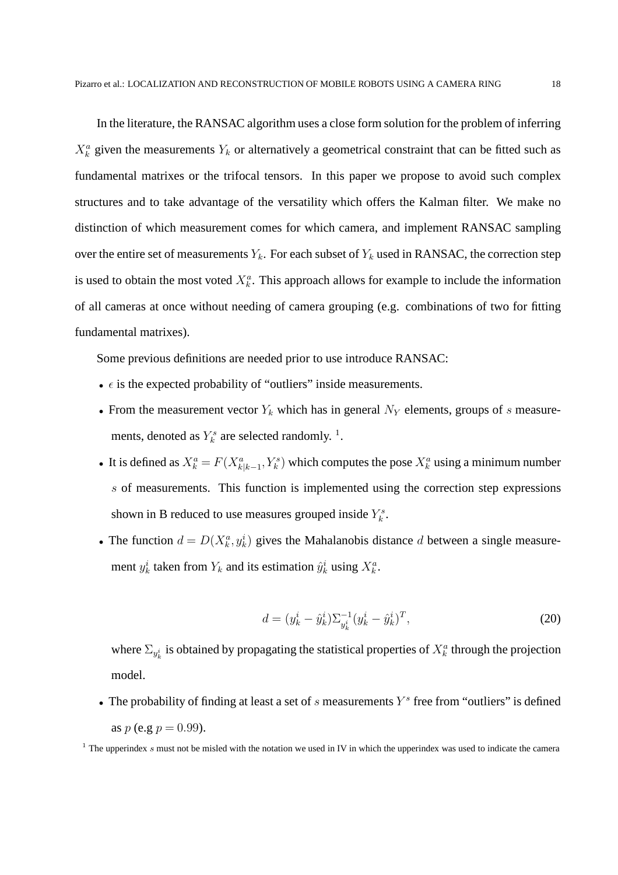In the literature, the RANSAC algorithm uses a close form solution for the problem of inferring  $X_k^a$  given the measurements  $Y_k$  or alternatively a geometrical constraint that can be fitted such as fundamental matrixes or the trifocal tensors. In this paper we propose to avoid such complex structures and to take advantage of the versatility which offers the Kalman filter. We make no distinction of which measurement comes for which camera, and implement RANSAC sampling over the entire set of measurements  $Y_k$ . For each subset of  $Y_k$  used in RANSAC, the correction step is used to obtain the most voted  $X_k^a$ . This approach allows for example to include the information of all cameras at once without needing of camera grouping (e.g. combinations of two for fitting fundamental matrixes).

Some previous definitions are needed prior to use introduce RANSAC:

- $\epsilon$  is the expected probability of "outliers" inside measurements.
- From the measurement vector  $Y_k$  which has in general  $N_Y$  elements, groups of s measurements, denoted as  $Y_k^s$  are selected randomly.<sup>1</sup>.
- It is defined as  $X_k^a = F(X_{k|k-1}^a, Y_k^s)$  which computes the pose  $X_k^a$  using a minimum number s of measurements. This function is implemented using the correction step expressions shown in B reduced to use measures grouped inside  $Y_k^s$ .
- The function  $d = D(X_k^a, y_k^i)$  gives the Mahalanobis distance d between a single measurement  $y_k^i$  taken from  $Y_k$  and its estimation  $\hat{y}_k^i$  using  $X_k^a$ .

$$
d = (y_k^i - \hat{y}_k^i) \Sigma_{y_k^i}^{-1} (y_k^i - \hat{y}_k^i)^T,
$$
\n(20)

where  $\Sigma_{y_k^i}$  is obtained by propagating the statistical properties of  $X_k^a$  through the projection model.

• The probability of finding at least a set of  $s$  measurements  $Y^s$  free from "outliers" is defined as  $p$  (e.g  $p = 0.99$ ).

<sup>&</sup>lt;sup>1</sup> The upperindex s must not be misled with the notation we used in IV in which the upperindex was used to indicate the camera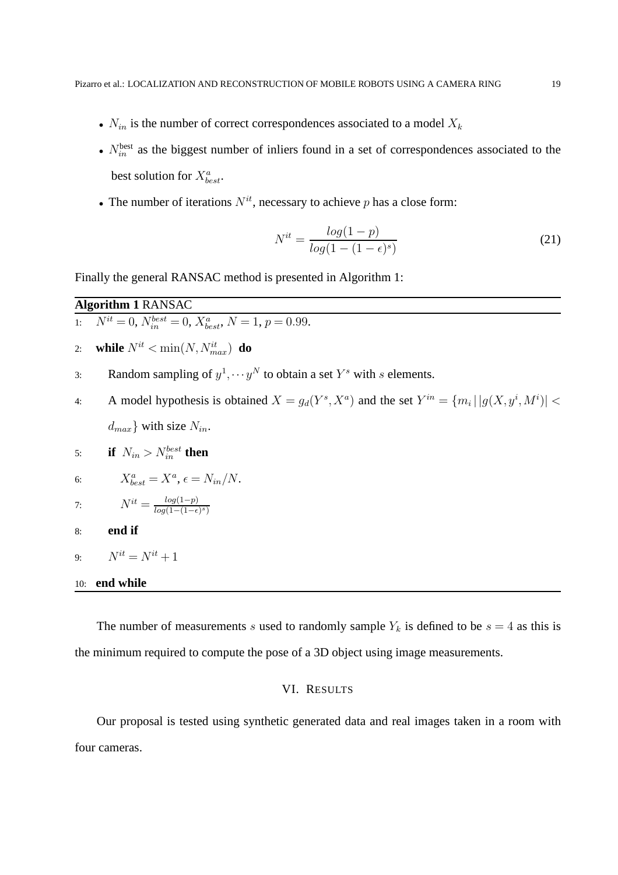- $N_{in}$  is the number of correct correspondences associated to a model  $X_k$
- $N_{in}^{\text{best}}$  as the biggest number of inliers found in a set of correspondences associated to the best solution for  $X_{best}^a$ .
- The number of iterations  $N^{it}$ , necessary to achieve p has a close form:

$$
N^{it} = \frac{\log(1-p)}{\log(1-(1-\epsilon)^s)}
$$
\n(21)

Finally the general RANSAC method is presented in Algorithm 1:

## **Algorithm 1** RANSAC

1:  $N^{it} = 0$ ,  $N_{in}^{best} = 0$ ,  $X_{best}^{a}$ ,  $N = 1$ ,  $p = 0.99$ .

- 2: **while**  $N^{it} < \min(N, N_{max}^{it})$  **do**
- 3: Random sampling of  $y^1, \dots, y^N$  to obtain a set  $Y^s$  with s elements.
- 4: A model hypothesis is obtained  $X = g_d(Y^s, X^a)$  and the set  $Y^{in} = \{m_i | |g(X, y^i, M^i)|$  <  $d_{max}$  with size  $N_{in}$ .

5: if 
$$
N_{in} > N_{in}^{best}
$$
 then

6: 
$$
X_{best}^a = X^a, \epsilon = N_{in}/N.
$$

7: 
$$
N^{it} = \frac{\log(1-p)}{\log(1-(1-\epsilon)^s)}
$$

- 8: **end if**
- 9:  $N^{it} = N^{it} + 1$

## 10: **end while**

The number of measurements s used to randomly sample  $Y_k$  is defined to be  $s = 4$  as this is the minimum required to compute the pose of a 3D object using image measurements.

## VI. RESULTS

Our proposal is tested using synthetic generated data and real images taken in a room with four cameras.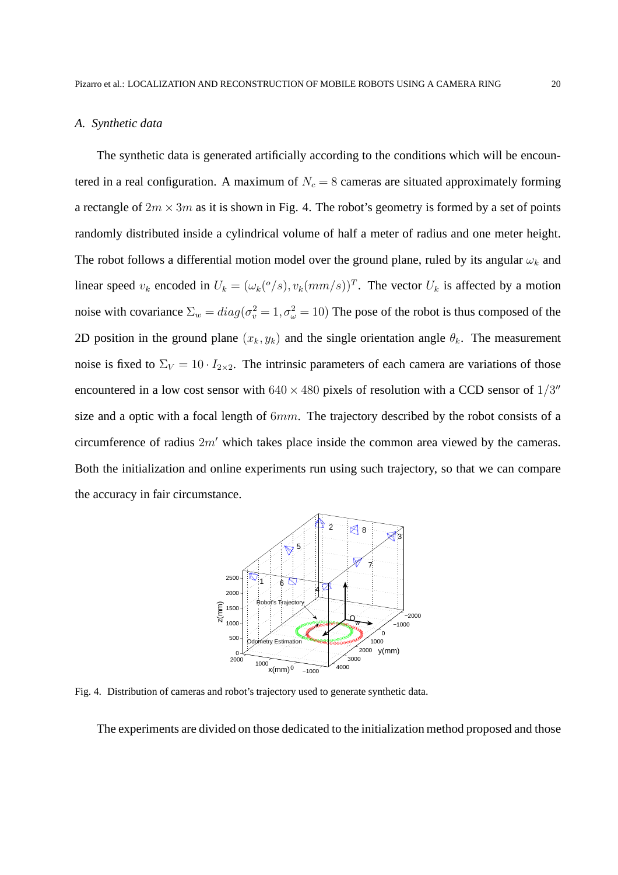#### *A. Synthetic data*

The synthetic data is generated artificially according to the conditions which will be encountered in a real configuration. A maximum of  $N_c = 8$  cameras are situated approximately forming a rectangle of  $2m \times 3m$  as it is shown in Fig. 4. The robot's geometry is formed by a set of points randomly distributed inside a cylindrical volume of half a meter of radius and one meter height. The robot follows a differential motion model over the ground plane, ruled by its angular  $\omega_k$  and linear speed  $v_k$  encoded in  $U_k = (\omega_k({}^o/s), v_k(mm/s))^T$ . The vector  $U_k$  is affected by a motion noise with covariance  $\Sigma_w = diag(\sigma_v^2 = 1, \sigma_\omega^2 = 10)$  The pose of the robot is thus composed of the 2D position in the ground plane  $(x_k, y_k)$  and the single orientation angle  $\theta_k$ . The measurement noise is fixed to  $\Sigma_V = 10 \cdot I_{2 \times 2}$ . The intrinsic parameters of each camera are variations of those encountered in a low cost sensor with  $640 \times 480$  pixels of resolution with a CCD sensor of  $1/3''$ size and a optic with a focal length of  $6mm$ . The trajectory described by the robot consists of a circumference of radius 2m′ which takes place inside the common area viewed by the cameras. Both the initialization and online experiments run using such trajectory, so that we can compare the accuracy in fair circumstance.



Fig. 4. Distribution of cameras and robot's trajectory used to generate synthetic data.

The experiments are divided on those dedicated to the initialization method proposed and those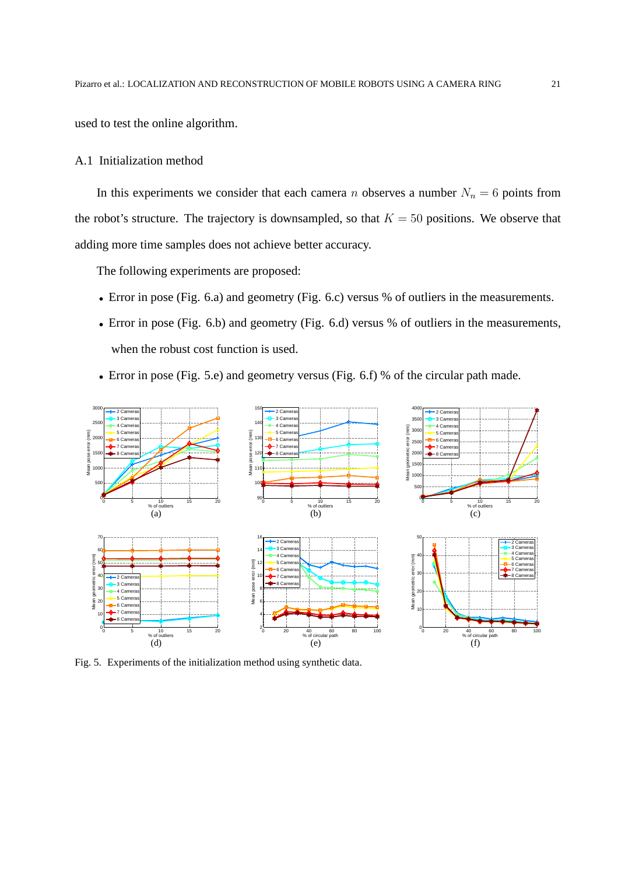used to test the online algorithm.

#### A.1 Initialization method

In this experiments we consider that each camera n observes a number  $N_n = 6$  points from the robot's structure. The trajectory is downsampled, so that  $K = 50$  positions. We observe that adding more time samples does not achieve better accuracy.

The following experiments are proposed:

- Error in pose (Fig. 6.a) and geometry (Fig. 6.c) versus % of outliers in the measurements.
- Error in pose (Fig. 6.b) and geometry (Fig. 6.d) versus % of outliers in the measurements, when the robust cost function is used.
- Error in pose (Fig. 5.e) and geometry versus (Fig. 6.f) % of the circular path made.



Fig. 5. Experiments of the initialization method using synthetic data.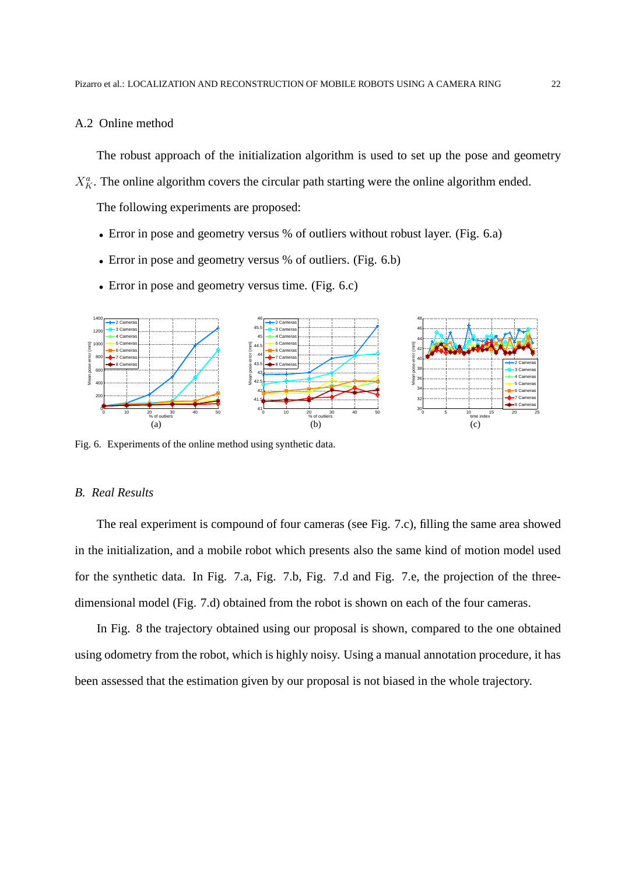#### A.2 Online method

The robust approach of the initialization algorithm is used to set up the pose and geometry

 $X_K^a$ . The online algorithm covers the circular path starting were the online algorithm ended.

The following experiments are proposed:

- Error in pose and geometry versus % of outliers without robust layer. (Fig. 6.a)
- Error in pose and geometry versus % of outliers. (Fig. 6.b)
- Error in pose and geometry versus time. (Fig. 6.c)



Fig. 6. Experiments of the online method using synthetic data.

## *B. Real Results*

The real experiment is compound of four cameras (see Fig. 7.c), filling the same area showed in the initialization, and a mobile robot which presents also the same kind of motion model used for the synthetic data. In Fig. 7.a, Fig. 7.b, Fig. 7.d and Fig. 7.e, the projection of the threedimensional model (Fig. 7.d) obtained from the robot is shown on each of the four cameras.

In Fig. 8 the trajectory obtained using our proposal is shown, compared to the one obtained using odometry from the robot, which is highly noisy. Using a manual annotation procedure, it has been assessed that the estimation given by our proposal is not biased in the whole trajectory.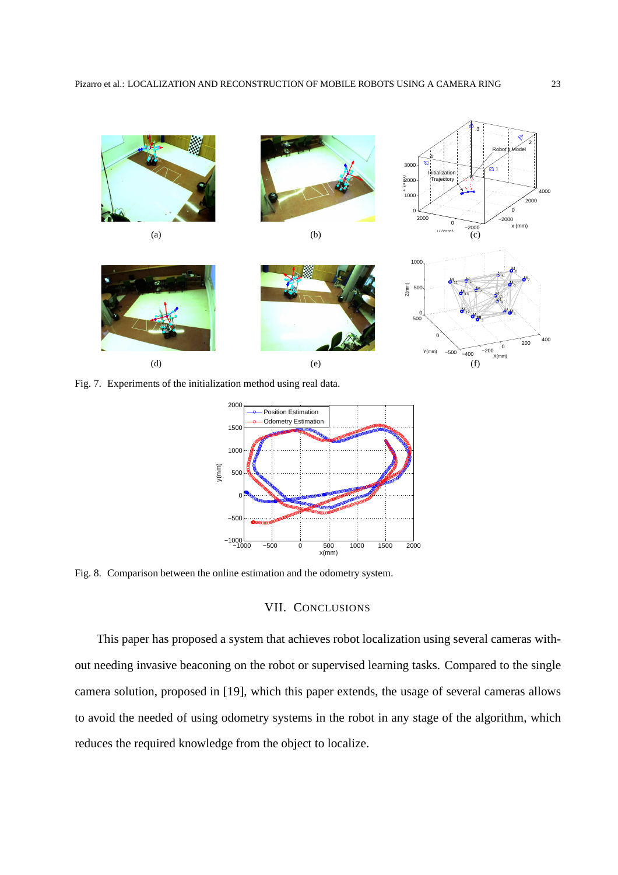

Fig. 7. Experiments of the initialization method using real data.



Fig. 8. Comparison between the online estimation and the odometry system.

# VII. CONCLUSIONS

This paper has proposed a system that achieves robot localization using several cameras without needing invasive beaconing on the robot or supervised learning tasks. Compared to the single camera solution, proposed in [19], which this paper extends, the usage of several cameras allows to avoid the needed of using odometry systems in the robot in any stage of the algorithm, which reduces the required knowledge from the object to localize.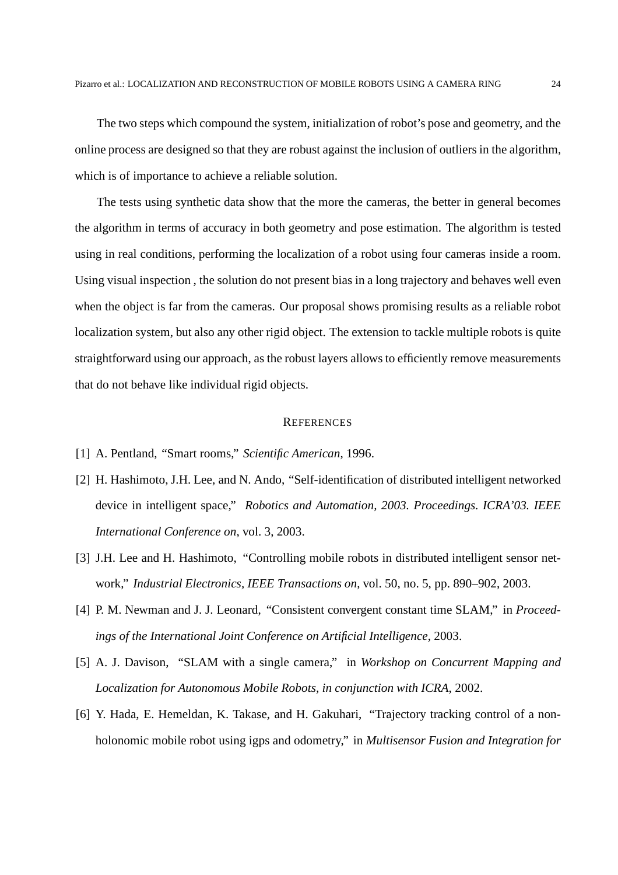The two steps which compound the system, initialization of robot's pose and geometry, and the online process are designed so that they are robust against the inclusion of outliers in the algorithm, which is of importance to achieve a reliable solution.

The tests using synthetic data show that the more the cameras, the better in general becomes the algorithm in terms of accuracy in both geometry and pose estimation. The algorithm is tested using in real conditions, performing the localization of a robot using four cameras inside a room. Using visual inspection , the solution do not present bias in a long trajectory and behaves well even when the object is far from the cameras. Our proposal shows promising results as a reliable robot localization system, but also any other rigid object. The extension to tackle multiple robots is quite straightforward using our approach, as the robust layers allows to efficiently remove measurements that do not behave like individual rigid objects.

#### **REFERENCES**

- [1] A. Pentland, "Smart rooms," *Scientific American*, 1996.
- [2] H. Hashimoto, J.H. Lee, and N. Ando, "Self-identification of distributed intelligent networked device in intelligent space," *Robotics and Automation, 2003. Proceedings. ICRA'03. IEEE International Conference on*, vol. 3, 2003.
- [3] J.H. Lee and H. Hashimoto, "Controlling mobile robots in distributed intelligent sensor network," *Industrial Electronics, IEEE Transactions on*, vol. 50, no. 5, pp. 890–902, 2003.
- [4] P. M. Newman and J. J. Leonard, "Consistent convergent constant time SLAM," in *Proceedings of the International Joint Conference on Artificial Intelligence*, 2003.
- [5] A. J. Davison, "SLAM with a single camera," in *Workshop on Concurrent Mapping and Localization for Autonomous Mobile Robots, in conjunction with ICRA*, 2002.
- [6] Y. Hada, E. Hemeldan, K. Takase, and H. Gakuhari, "Trajectory tracking control of a nonholonomic mobile robot using igps and odometry," in *Multisensor Fusion and Integration for*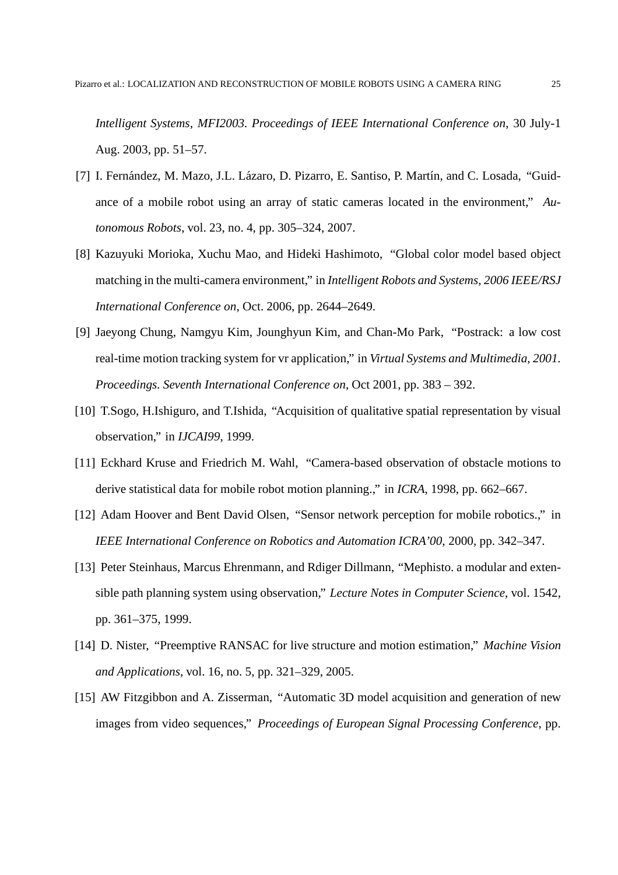*Intelligent Systems, MFI2003. Proceedings of IEEE International Conference on*, 30 July-1 Aug. 2003, pp. 51–57.

- [7] I. Fernández, M. Mazo, J.L. Lázaro, D. Pizarro, E. Santiso, P. Martín, and C. Losada, "Guidance of a mobile robot using an array of static cameras located in the environment," *Autonomous Robots*, vol. 23, no. 4, pp. 305–324, 2007.
- [8] Kazuyuki Morioka, Xuchu Mao, and Hideki Hashimoto, "Global color model based object matching in the multi-camera environment," in *Intelligent Robots and Systems, 2006 IEEE/RSJ International Conference on*, Oct. 2006, pp. 2644–2649.
- [9] Jaeyong Chung, Namgyu Kim, Jounghyun Kim, and Chan-Mo Park, "Postrack: a low cost real-time motion tracking system for vr application," in *Virtual Systems and Multimedia, 2001. Proceedings. Seventh International Conference on*, Oct 2001, pp. 383 – 392.
- [10] T.Sogo, H.Ishiguro, and T.Ishida, "Acquisition of qualitative spatial representation by visual observation," in *IJCAI99*, 1999.
- [11] Eckhard Kruse and Friedrich M. Wahl, "Camera-based observation of obstacle motions to derive statistical data for mobile robot motion planning.," in *ICRA*, 1998, pp. 662–667.
- [12] Adam Hoover and Bent David Olsen, "Sensor network perception for mobile robotics.," in *IEEE International Conference on Robotics and Automation ICRA'00*, 2000, pp. 342–347.
- [13] Peter Steinhaus, Marcus Ehrenmann, and Rdiger Dillmann, "Mephisto. a modular and extensible path planning system using observation," *Lecture Notes in Computer Science*, vol. 1542, pp. 361–375, 1999.
- [14] D. Nister, "Preemptive RANSAC for live structure and motion estimation," *Machine Vision and Applications*, vol. 16, no. 5, pp. 321–329, 2005.
- [15] AW Fitzgibbon and A. Zisserman, "Automatic 3D model acquisition and generation of new images from video sequences," *Proceedings of European Signal Processing Conference*, pp.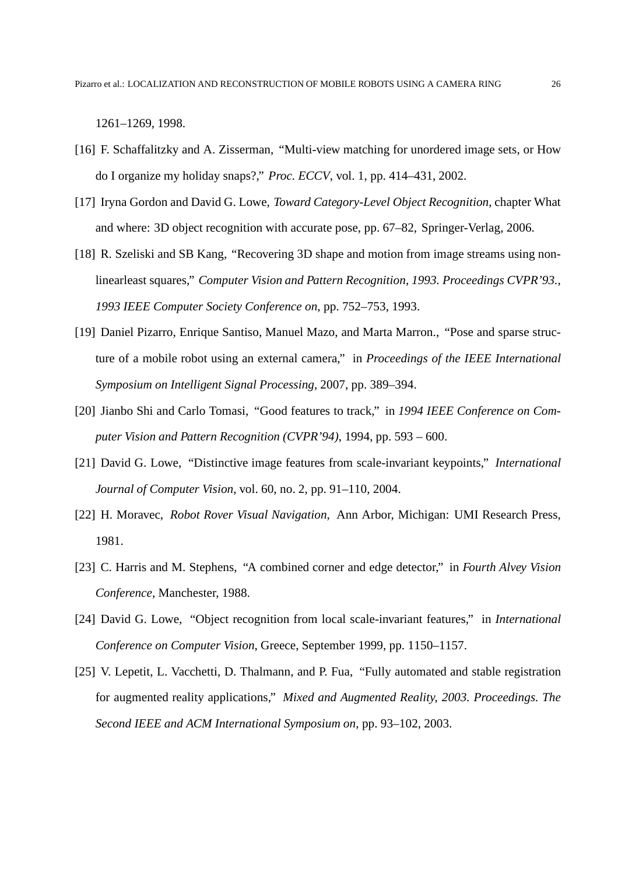1261–1269, 1998.

- [16] F. Schaffalitzky and A. Zisserman, "Multi-view matching for unordered image sets, or How do I organize my holiday snaps?," *Proc. ECCV*, vol. 1, pp. 414–431, 2002.
- [17] Iryna Gordon and David G. Lowe, *Toward Category-Level Object Recognition*, chapter What and where: 3D object recognition with accurate pose, pp. 67–82, Springer-Verlag, 2006.
- [18] R. Szeliski and SB Kang, "Recovering 3D shape and motion from image streams using nonlinearleast squares," *Computer Vision and Pattern Recognition, 1993. Proceedings CVPR'93., 1993 IEEE Computer Society Conference on*, pp. 752–753, 1993.
- [19] Daniel Pizarro, Enrique Santiso, Manuel Mazo, and Marta Marron., "Pose and sparse structure of a mobile robot using an external camera," in *Proceedings of the IEEE International Symposium on Intelligent Signal Processing*, 2007, pp. 389–394.
- [20] Jianbo Shi and Carlo Tomasi, "Good features to track," in *1994 IEEE Conference on Computer Vision and Pattern Recognition (CVPR'94)*, 1994, pp. 593 – 600.
- [21] David G. Lowe, "Distinctive image features from scale-invariant keypoints," *International Journal of Computer Vision*, vol. 60, no. 2, pp. 91–110, 2004.
- [22] H. Moravec, *Robot Rover Visual Navigation*, Ann Arbor, Michigan: UMI Research Press, 1981.
- [23] C. Harris and M. Stephens, "A combined corner and edge detector," in *Fourth Alvey Vision Conference*, Manchester, 1988.
- [24] David G. Lowe, "Object recognition from local scale-invariant features," in *International Conference on Computer Vision*, Greece, September 1999, pp. 1150–1157.
- [25] V. Lepetit, L. Vacchetti, D. Thalmann, and P. Fua, "Fully automated and stable registration for augmented reality applications," *Mixed and Augmented Reality, 2003. Proceedings. The Second IEEE and ACM International Symposium on*, pp. 93–102, 2003.